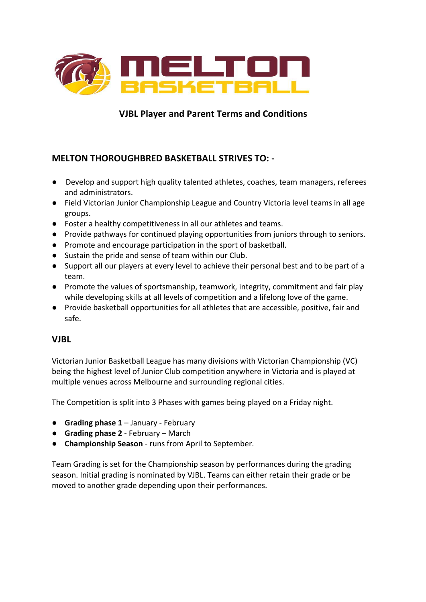

# **VJBL Player and Parent Terms and Conditions**

# **MELTON THOROUGHBRED BASKETBALL STRIVES TO: -**

- Develop and support high quality talented athletes, coaches, team managers, referees and administrators.
- Field Victorian Junior Championship League and Country Victoria level teams in all age groups.
- Foster a healthy competitiveness in all our athletes and teams.
- Provide pathways for continued playing opportunities from juniors through to seniors.
- Promote and encourage participation in the sport of basketball.
- Sustain the pride and sense of team within our Club.
- Support all our players at every level to achieve their personal best and to be part of a team.
- Promote the values of sportsmanship, teamwork, integrity, commitment and fair play while developing skills at all levels of competition and a lifelong love of the game.
- Provide basketball opportunities for all athletes that are accessible, positive, fair and safe.

### **VJBL**

Victorian Junior Basketball League has many divisions with Victorian Championship (VC) being the highest level of Junior Club competition anywhere in Victoria and is played at multiple venues across Melbourne and surrounding regional cities.

The Competition is split into 3 Phases with games being played on a Friday night.

- **Grading phase 1** January February
- **Grading phase 2** February March
- **Championship Season** runs from April to September.

Team Grading is set for the Championship season by performances during the grading season. Initial grading is nominated by VJBL. Teams can either retain their grade or be moved to another grade depending upon their performances.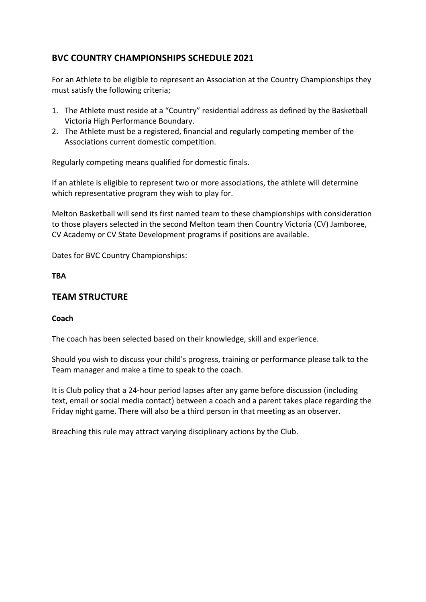# **BVC COUNTRY CHAMPIONSHIPS SCHEDULE 2021**

For an Athlete to be eligible to represent an Association at the Country Championships they must satisfy the following criteria;

- 1. The Athlete must reside at a "Country" residential address as defined by the Basketball Victoria High Performance Boundary.
- 2. The Athlete must be a registered, financial and regularly competing member of the Associations current domestic competition.

Regularly competing means qualified for domestic finals.

If an athlete is eligible to represent two or more associations, the athlete will determine which representative program they wish to play for.

Melton Basketball will send its first named team to these championships with consideration to those players selected in the second Melton team then Country Victoria (CV) Jamboree, CV Academy or CV State Development programs if positions are available.

Dates for BVC Country Championships:

#### **TBA**

### **TEAM STRUCTURE**

#### **Coach**

The coach has been selected based on their knowledge, skill and experience.

Should you wish to discuss your child's progress, training or performance please talk to the Team manager and make a time to speak to the coach.

It is Club policy that a 24-hour period lapses after any game before discussion (including text, email or social media contact) between a coach and a parent takes place regarding the Friday night game. There will also be a third person in that meeting as an observer.

Breaching this rule may attract varying disciplinary actions by the Club.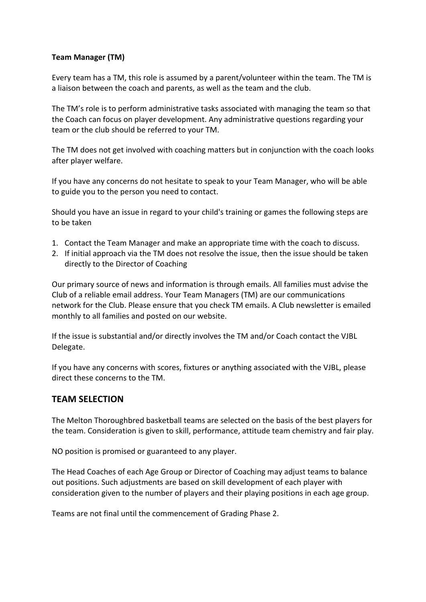#### **Team Manager (TM)**

Every team has a TM, this role is assumed by a parent/volunteer within the team. The TM is a liaison between the coach and parents, as well as the team and the club.

The TM's role is to perform administrative tasks associated with managing the team so that the Coach can focus on player development. Any administrative questions regarding your team or the club should be referred to your TM.

The TM does not get involved with coaching matters but in conjunction with the coach looks after player welfare.

If you have any concerns do not hesitate to speak to your Team Manager, who will be able to guide you to the person you need to contact.

Should you have an issue in regard to your child's training or games the following steps are to be taken

- 1. Contact the Team Manager and make an appropriate time with the coach to discuss.
- 2. If initial approach via the TM does not resolve the issue, then the issue should be taken directly to the Director of Coaching

Our primary source of news and information is through emails. All families must advise the Club of a reliable email address. Your Team Managers (TM) are our communications network for the Club. Please ensure that you check TM emails. A Club newsletter is emailed monthly to all families and posted on our website.

If the issue is substantial and/or directly involves the TM and/or Coach contact the VJBL Delegate. 

If you have any concerns with scores, fixtures or anything associated with the VJBL, please direct these concerns to the TM.

### **TEAM SELECTION**

The Melton Thoroughbred basketball teams are selected on the basis of the best players for the team. Consideration is given to skill, performance, attitude team chemistry and fair play.

NO position is promised or guaranteed to any player.

The Head Coaches of each Age Group or Director of Coaching may adjust teams to balance out positions. Such adjustments are based on skill development of each player with consideration given to the number of players and their playing positions in each age group.

Teams are not final until the commencement of Grading Phase 2.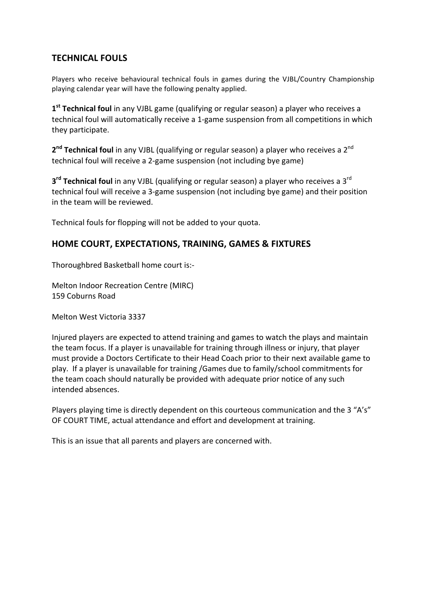## **TECHNICAL FOULS**

Players who receive behavioural technical fouls in games during the VJBL/Country Championship playing calendar year will have the following penalty applied.

**1<sup>st</sup> Technical foul** in any VJBL game (qualifying or regular season) a player who receives a technical foul will automatically receive a 1-game suspension from all competitions in which they participate.

2<sup>nd</sup> **Technical foul** in any VJBL (qualifying or regular season) a player who receives a 2<sup>nd</sup> technical foul will receive a 2-game suspension (not including bye game)

**3<sup>rd</sup> Technical foul** in any VJBL (qualifying or regular season) a player who receives a 3<sup>rd</sup> technical foul will receive a 3-game suspension (not including bye game) and their position in the team will be reviewed.

Technical fouls for flopping will not be added to your quota.

### **HOME COURT, EXPECTATIONS, TRAINING, GAMES & FIXTURES**

Thoroughbred Basketball home court is:-

Melton Indoor Recreation Centre (MIRC) 159 Coburns Road 

Melton West Victoria 3337 

Injured players are expected to attend training and games to watch the plays and maintain the team focus. If a player is unavailable for training through illness or injury, that player must provide a Doctors Certificate to their Head Coach prior to their next available game to play. If a player is unavailable for training /Games due to family/school commitments for the team coach should naturally be provided with adequate prior notice of any such intended absences. 

Players playing time is directly dependent on this courteous communication and the 3 "A's" OF COURT TIME, actual attendance and effort and development at training.

This is an issue that all parents and players are concerned with.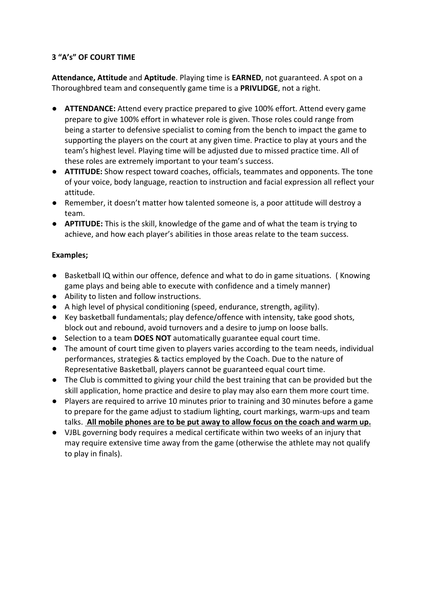### **3 "A's" OF COURT TIME**

**Attendance, Attitude** and Aptitude. Playing time is **EARNED**, not guaranteed. A spot on a Thoroughbred team and consequently game time is a PRIVLIDGE, not a right.

- **ATTENDANCE:** Attend every practice prepared to give 100% effort. Attend every game prepare to give 100% effort in whatever role is given. Those roles could range from being a starter to defensive specialist to coming from the bench to impact the game to supporting the players on the court at any given time. Practice to play at yours and the team's highest level. Playing time will be adjusted due to missed practice time. All of these roles are extremely important to your team's success.
- **ATTITUDE:** Show respect toward coaches, officials, teammates and opponents. The tone of your voice, body language, reaction to instruction and facial expression all reflect your attitude.
- Remember, it doesn't matter how talented someone is, a poor attitude will destroy a team.
- **APTITUDE:** This is the skill, knowledge of the game and of what the team is trying to achieve, and how each player's abilities in those areas relate to the team success.

### Examples;

- Basketball IQ within our offence, defence and what to do in game situations. (Knowing game plays and being able to execute with confidence and a timely manner)
- Ability to listen and follow instructions.
- A high level of physical conditioning (speed, endurance, strength, agility).
- Key basketball fundamentals; play defence/offence with intensity, take good shots, block out and rebound, avoid turnovers and a desire to jump on loose balls.
- Selection to a team **DOES NOT** automatically guarantee equal court time.
- The amount of court time given to players varies according to the team needs, individual performances, strategies & tactics employed by the Coach. Due to the nature of Representative Basketball, players cannot be guaranteed equal court time.
- The Club is committed to giving your child the best training that can be provided but the skill application, home practice and desire to play may also earn them more court time.
- Players are required to arrive 10 minutes prior to training and 30 minutes before a game to prepare for the game adjust to stadium lighting, court markings, warm-ups and team talks. All mobile phones are to be put away to allow focus on the coach and warm up.
- VJBL governing body requires a medical certificate within two weeks of an injury that may require extensive time away from the game (otherwise the athlete may not qualify to play in finals).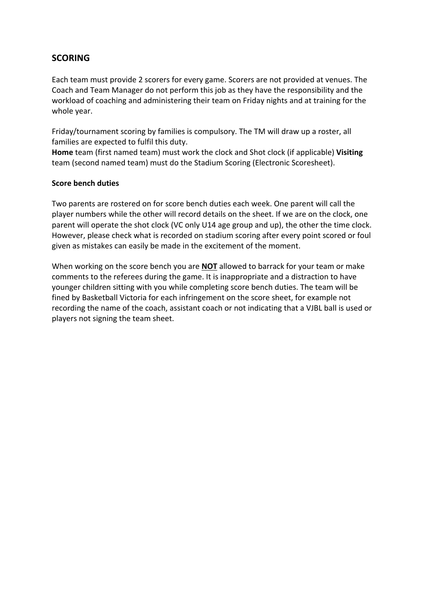## **SCORING**

Each team must provide 2 scorers for every game. Scorers are not provided at venues. The Coach and Team Manager do not perform this job as they have the responsibility and the workload of coaching and administering their team on Friday nights and at training for the whole year.

Friday/tournament scoring by families is compulsory. The TM will draw up a roster, all families are expected to fulfil this duty.

Home team (first named team) must work the clock and Shot clock (if applicable) Visiting team (second named team) must do the Stadium Scoring (Electronic Scoresheet).

#### **Score bench duties**

Two parents are rostered on for score bench duties each week. One parent will call the player numbers while the other will record details on the sheet. If we are on the clock, one parent will operate the shot clock (VC only U14 age group and up), the other the time clock. However, please check what is recorded on stadium scoring after every point scored or foul given as mistakes can easily be made in the excitement of the moment.

When working on the score bench you are **NOT** allowed to barrack for your team or make comments to the referees during the game. It is inappropriate and a distraction to have younger children sitting with you while completing score bench duties. The team will be fined by Basketball Victoria for each infringement on the score sheet, for example not recording the name of the coach, assistant coach or not indicating that a VJBL ball is used or players not signing the team sheet.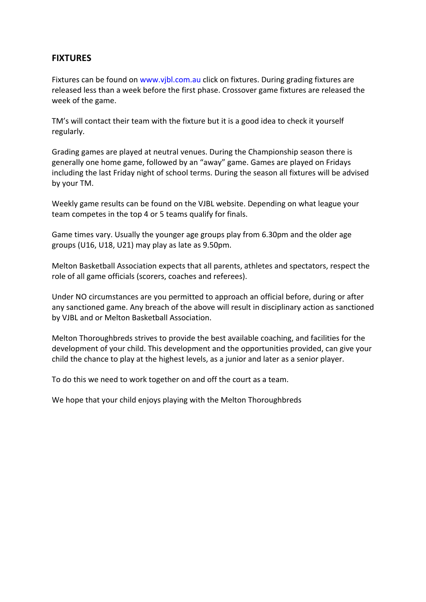### **FIXTURES**

Fixtures can be found on www.vjbl.com.au click on fixtures. During grading fixtures are released less than a week before the first phase. Crossover game fixtures are released the week of the game.

TM's will contact their team with the fixture but it is a good idea to check it yourself regularly. 

Grading games are played at neutral venues. During the Championship season there is generally one home game, followed by an "away" game. Games are played on Fridays including the last Friday night of school terms. During the season all fixtures will be advised by your TM.

Weekly game results can be found on the VJBL website. Depending on what league your team competes in the top 4 or 5 teams qualify for finals.

Game times vary. Usually the younger age groups play from 6.30pm and the older age groups (U16, U18, U21) may play as late as 9.50pm.

Melton Basketball Association expects that all parents, athletes and spectators, respect the role of all game officials (scorers, coaches and referees).

Under NO circumstances are you permitted to approach an official before, during or after any sanctioned game. Any breach of the above will result in disciplinary action as sanctioned by VJBL and or Melton Basketball Association.

Melton Thoroughbreds strives to provide the best available coaching, and facilities for the development of your child. This development and the opportunities provided, can give your child the chance to play at the highest levels, as a junior and later as a senior player.

To do this we need to work together on and off the court as a team.

We hope that your child enjoys playing with the Melton Thoroughbreds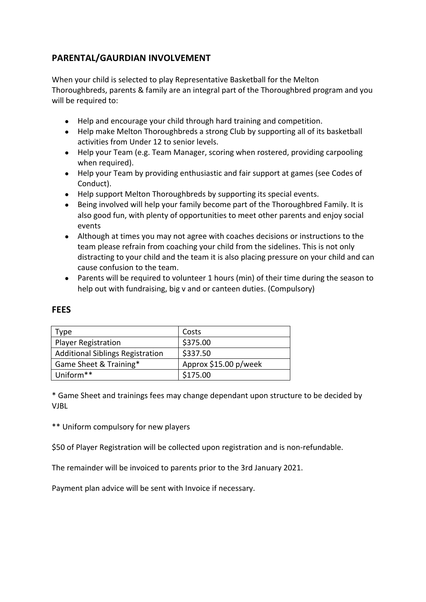# **PARENTAL/GAURDIAN INVOLVEMENT**

When your child is selected to play Representative Basketball for the Melton Thoroughbreds, parents & family are an integral part of the Thoroughbred program and you will be required to:

- Help and encourage your child through hard training and competition.
- Help make Melton Thoroughbreds a strong Club by supporting all of its basketball activities from Under 12 to senior levels.
- Help your Team (e.g. Team Manager, scoring when rostered, providing carpooling when required).
- Help your Team by providing enthusiastic and fair support at games (see Codes of Conduct).
- Help support Melton Thoroughbreds by supporting its special events.
- Being involved will help your family become part of the Thoroughbred Family. It is also good fun, with plenty of opportunities to meet other parents and enjoy social events
- Although at times you may not agree with coaches decisions or instructions to the team please refrain from coaching your child from the sidelines. This is not only distracting to your child and the team it is also placing pressure on your child and can cause confusion to the team.
- Parents will be required to volunteer 1 hours (min) of their time during the season to help out with fundraising, big v and or canteen duties. (Compulsory)

| Type                                    | Costs                 |
|-----------------------------------------|-----------------------|
| <b>Player Registration</b>              | \$375.00              |
| <b>Additional Siblings Registration</b> | \$337.50              |
| Game Sheet & Training*                  | Approx \$15.00 p/week |
| Uniform**                               | \$175.00              |

### **FEES**

\* Game Sheet and trainings fees may change dependant upon structure to be decided by VJBL

\*\* Uniform compulsory for new players

\$50 of Player Registration will be collected upon registration and is non-refundable.

The remainder will be invoiced to parents prior to the 3rd January 2021.

Payment plan advice will be sent with Invoice if necessary.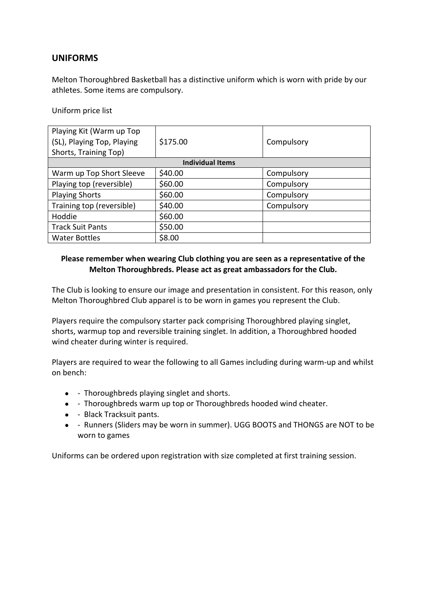### **UNIFORMS**

Melton Thoroughbred Basketball has a distinctive uniform which is worn with pride by our athletes. Some items are compulsory.

Uniform price list

| Playing Kit (Warm up Top<br>(SL), Playing Top, Playing | \$175.00 | Compulsory |  |  |
|--------------------------------------------------------|----------|------------|--|--|
| Shorts, Training Top)                                  |          |            |  |  |
| <b>Individual Items</b>                                |          |            |  |  |
| Warm up Top Short Sleeve                               | \$40.00  | Compulsory |  |  |
| Playing top (reversible)                               | \$60.00  | Compulsory |  |  |
| <b>Playing Shorts</b>                                  | \$60.00  | Compulsory |  |  |
| Training top (reversible)                              | \$40.00  | Compulsory |  |  |
| Hoddie                                                 | \$60.00  |            |  |  |
| <b>Track Suit Pants</b>                                | \$50.00  |            |  |  |
| <b>Water Bottles</b>                                   | \$8.00   |            |  |  |

### Please remember when wearing Club clothing you are seen as a representative of the Melton Thoroughbreds. Please act as great ambassadors for the Club.

The Club is looking to ensure our image and presentation in consistent. For this reason, only Melton Thoroughbred Club apparel is to be worn in games you represent the Club.

Players require the compulsory starter pack comprising Thoroughbred playing singlet, shorts, warmup top and reversible training singlet. In addition, a Thoroughbred hooded wind cheater during winter is required.

Players are required to wear the following to all Games including during warm-up and whilst on bench: 

- - Thoroughbreds playing singlet and shorts.
- - Thoroughbreds warm up top or Thoroughbreds hooded wind cheater.
- - Black Tracksuit pants.
- - Runners (Sliders may be worn in summer). UGG BOOTS and THONGS are NOT to be worn to games

Uniforms can be ordered upon registration with size completed at first training session.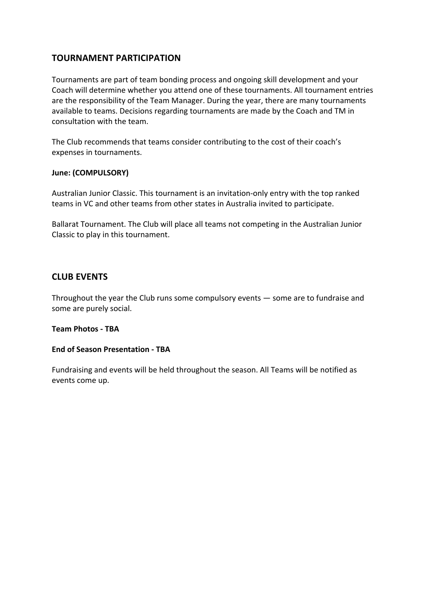### **TOURNAMENT PARTICIPATION**

Tournaments are part of team bonding process and ongoing skill development and your Coach will determine whether you attend one of these tournaments. All tournament entries are the responsibility of the Team Manager. During the year, there are many tournaments available to teams. Decisions regarding tournaments are made by the Coach and TM in consultation with the team.

The Club recommends that teams consider contributing to the cost of their coach's expenses in tournaments.

#### June: (COMPULSORY)

Australian Junior Classic. This tournament is an invitation-only entry with the top ranked teams in VC and other teams from other states in Australia invited to participate.

Ballarat Tournament. The Club will place all teams not competing in the Australian Junior Classic to play in this tournament.

### **CLUB EVENTS**

Throughout the year the Club runs some compulsory events  $-$  some are to fundraise and some are purely social.

#### **Team Photos - TBA**

#### **End of Season Presentation - TBA**

Fundraising and events will be held throughout the season. All Teams will be notified as events come up.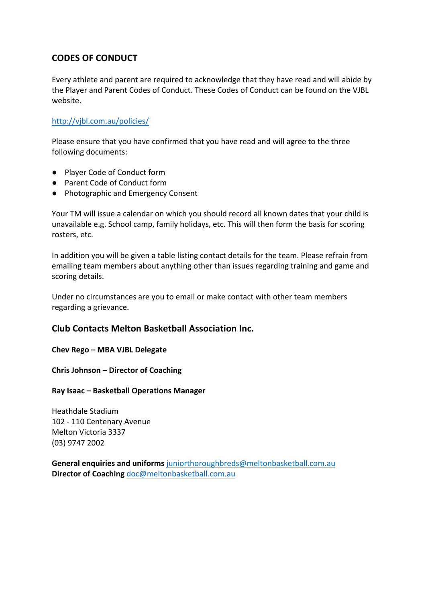## **CODES OF CONDUCT**

Every athlete and parent are required to acknowledge that they have read and will abide by the Player and Parent Codes of Conduct. These Codes of Conduct can be found on the VJBL website.

#### http://vjbl.com.au/policies/

Please ensure that you have confirmed that you have read and will agree to the three following documents:

- Player Code of Conduct form
- Parent Code of Conduct form
- Photographic and Emergency Consent

Your TM will issue a calendar on which you should record all known dates that your child is unavailable e.g. School camp, family holidays, etc. This will then form the basis for scoring rosters, etc.

In addition you will be given a table listing contact details for the team. Please refrain from emailing team members about anything other than issues regarding training and game and scoring details.

Under no circumstances are you to email or make contact with other team members regarding a grievance.

### **Club Contacts Melton Basketball Association Inc.**

**Chev Rego – MBA VJBL Delegate**

**Chris Johnson – Director of Coaching** 

**Ray Isaac – Basketball Operations Manager**

Heathdale Stadium 102 - 110 Centenary Avenue Melton Victoria 3337 (03) 9747 2002 

**General enquiries and uniforms** juniorthoroughbreds@meltonbasketball.com.au **Director of Coaching** doc@meltonbasketball.com.au